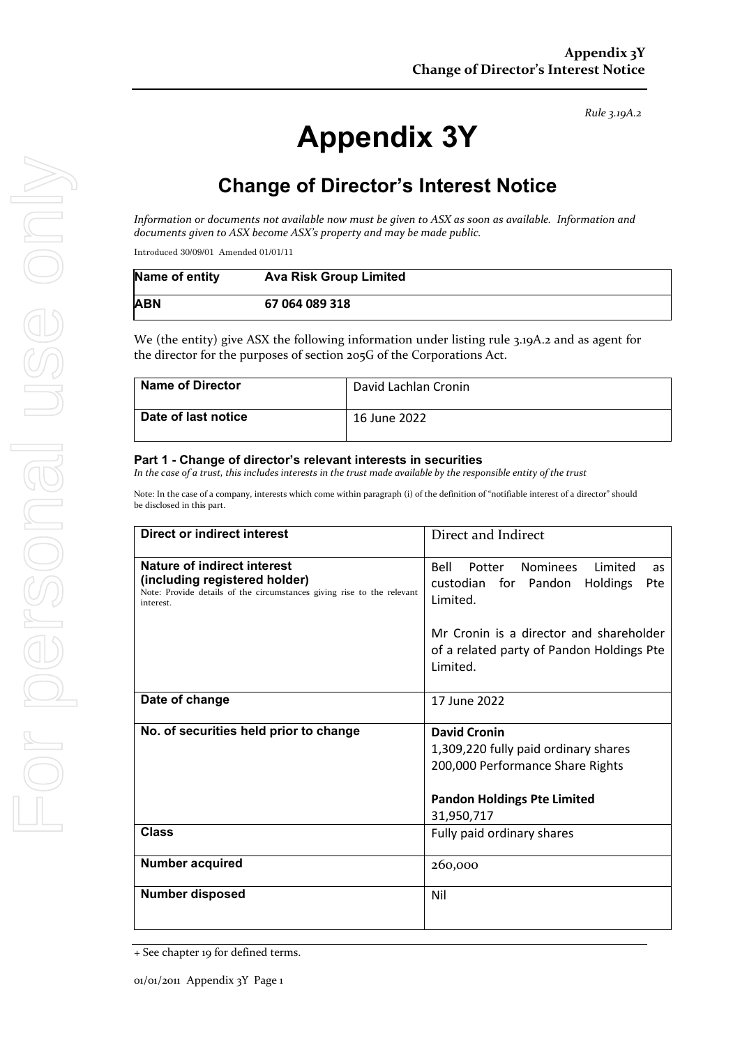# **Appendix 3Y**

# **Change of Director's Interest Notice**

*Information or documents not available now must be given to ASX as soon as available. Information and documents given to ASX become ASX's property and may be made public.*

Introduced 30/09/01 Amended 01/01/11

| Name of entity | <b>Ava Risk Group Limited</b> |
|----------------|-------------------------------|
| ABN            | 67 064 089 318                |

We (the entity) give ASX the following information under listing rule 3.19A.2 and as agent for the director for the purposes of section 205G of the Corporations Act.

| <b>Name of Director</b> | David Lachlan Cronin |
|-------------------------|----------------------|
| Date of last notice     | 16 June 2022         |

#### **Part 1 - Change of director's relevant interests in securities**

*In the case of a trust, this includes interests in the trust made available by the responsible entity of the trust*

Note: In the case of a company, interests which come within paragraph (i) of the definition of "notifiable interest of a director" should be disclosed in this part.

| Direct or indirect interest                                                                                                                         | Direct and Indirect                                                                              |  |
|-----------------------------------------------------------------------------------------------------------------------------------------------------|--------------------------------------------------------------------------------------------------|--|
| Nature of indirect interest<br>(including registered holder)<br>Note: Provide details of the circumstances giving rise to the relevant<br>interest. | Nominees<br>Bell<br>Potter<br>Limited<br>as<br>custodian for Pandon Holdings<br>Pte<br>Limited.  |  |
|                                                                                                                                                     | Mr Cronin is a director and shareholder<br>of a related party of Pandon Holdings Pte<br>Limited. |  |
| Date of change                                                                                                                                      | 17 June 2022                                                                                     |  |
| No. of securities held prior to change                                                                                                              | David Cronin                                                                                     |  |
|                                                                                                                                                     | 1,309,220 fully paid ordinary shares                                                             |  |
|                                                                                                                                                     | 200,000 Performance Share Rights                                                                 |  |
|                                                                                                                                                     | <b>Pandon Holdings Pte Limited</b>                                                               |  |
|                                                                                                                                                     | 31,950,717                                                                                       |  |
| <b>Class</b>                                                                                                                                        | Fully paid ordinary shares                                                                       |  |
| <b>Number acquired</b>                                                                                                                              | 260,000                                                                                          |  |
| <b>Number disposed</b>                                                                                                                              | Nil                                                                                              |  |

<sup>+</sup> See chapter 19 for defined terms.

*Rule 3.19A.2*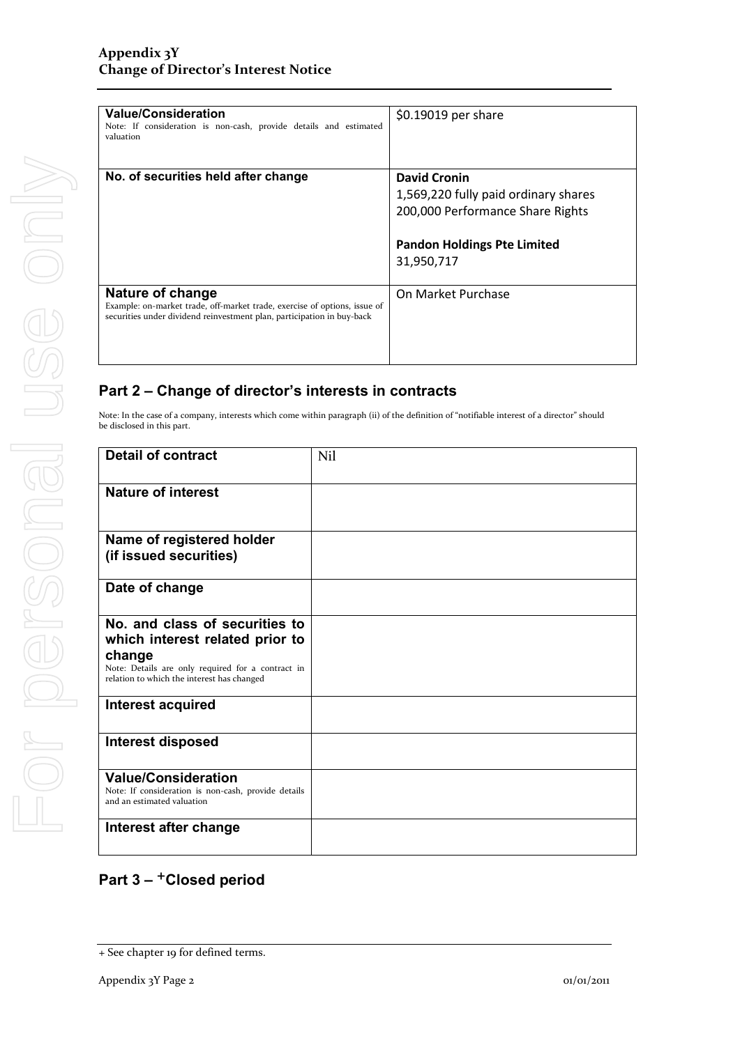| <b>Value/Consideration</b><br>Note: If consideration is non-cash, provide details and estimated<br>valuation                                                            | \$0.19019 per share                  |
|-------------------------------------------------------------------------------------------------------------------------------------------------------------------------|--------------------------------------|
| No. of securities held after change                                                                                                                                     | <b>David Cronin</b>                  |
|                                                                                                                                                                         | 1,569,220 fully paid ordinary shares |
|                                                                                                                                                                         | 200,000 Performance Share Rights     |
|                                                                                                                                                                         | <b>Pandon Holdings Pte Limited</b>   |
|                                                                                                                                                                         | 31,950,717                           |
| Nature of change<br>Example: on-market trade, off-market trade, exercise of options, issue of<br>securities under dividend reinvestment plan, participation in buy-back | On Market Purchase                   |

### **Part 2 – Change of director's interests in contracts**

Note: In the case of a company, interests which come within paragraph (ii) of the definition of "notifiable interest of a director" should be disclosed in this part.

| <b>Detail of contract</b>                                                                                                                                                      | Nil |
|--------------------------------------------------------------------------------------------------------------------------------------------------------------------------------|-----|
| <b>Nature of interest</b>                                                                                                                                                      |     |
| Name of registered holder<br>(if issued securities)                                                                                                                            |     |
| Date of change                                                                                                                                                                 |     |
| No. and class of securities to<br>which interest related prior to<br>change<br>Note: Details are only required for a contract in<br>relation to which the interest has changed |     |
| <b>Interest acquired</b>                                                                                                                                                       |     |
| <b>Interest disposed</b>                                                                                                                                                       |     |
| <b>Value/Consideration</b><br>Note: If consideration is non-cash, provide details<br>and an estimated valuation                                                                |     |
| Interest after change                                                                                                                                                          |     |

## **Part 3 –** +**Closed period**

<sup>+</sup> See chapter 19 for defined terms.